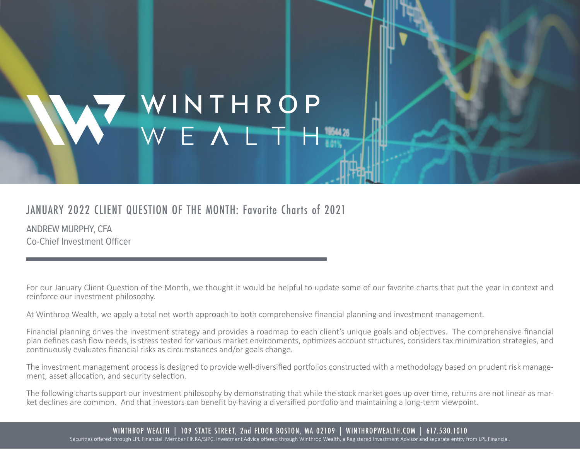# VINTHROP<br>WEALTH

## JANUARY 2022 CLIENT QUESTION OF THE MONTH: Favorite Charts of 2021

ANDREW MURPHY, CFA [Co-Chief Investment Officer](https://www.winthropwealth.com/team-member/andrew-murphy-cfa/)

For our January Client Question of the Month, we thought it would be helpful to update some of our favorite charts that put the year in context and reinforce our investment philosophy.

At Winthrop Wealth, we apply a total net worth approach to both comprehensive financial planning and investment management.

Financial planning drives the investment strategy and provides a roadmap to each client's unique goals and objectives. The comprehensive financial plan defines cash flow needs, is stress tested for various market environments, optimizes account structures, considers tax minimization strategies, and continuously evaluates financial risks as circumstances and/or goals change.

The investment management process is designed to provide well-diversified portfolios constructed with a methodology based on prudent risk management, asset allocation, and security selection.

The following charts support our investment philosophy by demonstrating that while the stock market goes up over time, returns are not linear as market declines are common. And that investors can benefit by having a diversified portfolio and maintaining a long-term viewpoint.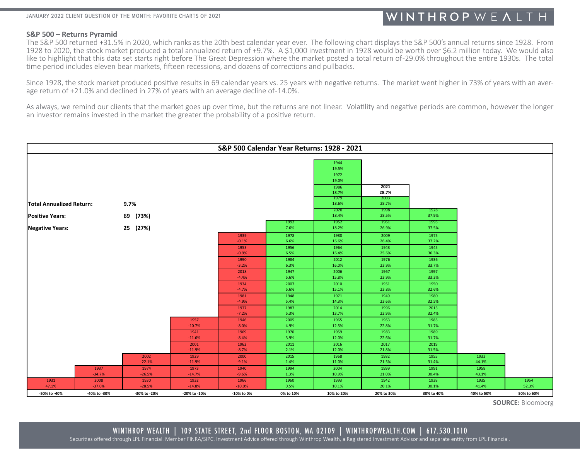#### **S&P 500 – Returns Pyramid**

The S&P 500 returned +31.5% in 2020, which ranks as the 20th best calendar year ever. The following chart displays the S&P 500's annual returns since 1928. From 1928 to 2020, the stock market produced a total annualized return of +9.7%. A \$1,000 investment in 1928 would be worth over \$6.2 million today. We would also like to highlight that this data set starts right before The Great Depression where the market posted a total return of-29.0% throughout the entire 1930s. The total time period includes eleven bear markets, fifteen recessions, and dozens of corrections and pullbacks.

Since 1928, the stock market produced positive results in 69 calendar years vs. 25 years with negative returns. The market went higher in 73% of years with an average declined in 27% of years with an average decline of -14

As always, we remind our clients that the market goes up over time, but the returns are not linear. Volatility and negative periods are common, however the longer an investor remains invested in the market the greater the probability of a positive return.

| S&P 500 Calendar Year Returns: 1928 - 2021 |              |              |                  |                 |              |                                        |               |               |            |            |  |  |  |
|--------------------------------------------|--------------|--------------|------------------|-----------------|--------------|----------------------------------------|---------------|---------------|------------|------------|--|--|--|
|                                            |              |              |                  |                 |              | 1944<br>19.5%<br>1972<br>19.0%<br>1986 | 2021          |               |            |            |  |  |  |
|                                            |              |              |                  |                 |              | 18.7%<br>1979                          | 28.7%<br>2003 |               |            |            |  |  |  |
| <b>Total Annualized Return:</b>            |              | 9.7%         |                  |                 |              | 18.6%                                  | 28.7%         |               |            |            |  |  |  |
| <b>Positive Years:</b>                     |              | 69 (73%)     |                  |                 |              | 2020<br>18.4%                          | 1998<br>28.5% | 1928<br>37.9% |            |            |  |  |  |
|                                            |              |              |                  |                 | 1992         | 1952                                   | 1961          | 1995          |            |            |  |  |  |
| <b>Negative Years:</b>                     |              | 25 (27%)     |                  |                 | 7.6%         | 18.2%                                  | 26.9%         | 37.5%         |            |            |  |  |  |
|                                            |              |              |                  | 1939            | 1978         | 1988                                   | 2009          | 1975          |            |            |  |  |  |
|                                            |              |              |                  | $-0.1%$         | 6.6%         | 16.6%                                  | 26.4%         | 37.2%         |            |            |  |  |  |
|                                            |              |              |                  | 1953            | 1956         | 1964                                   | 1943          | 1945          |            |            |  |  |  |
|                                            |              |              |                  | $-0.9%$         | 6.5%         | 16.4%                                  | 25.6%         | 36.3%         |            |            |  |  |  |
|                                            |              |              |                  | 1990            | 1984<br>6.3% | 2012<br>16.0%                          | 1976<br>23.9% | 1936<br>33.7% |            |            |  |  |  |
|                                            |              |              |                  | $-3.2%$         | 1947         | 2006                                   | 1967          |               |            |            |  |  |  |
|                                            |              |              |                  | 2018<br>$-4.4%$ | 5.6%         | 15.8%                                  | 23.9%         | 1997<br>33.3% |            |            |  |  |  |
|                                            |              |              |                  | 1934            | 2007         | 2010                                   | 1951          | 1950          |            |            |  |  |  |
|                                            |              |              |                  | $-4.7%$         | 5.6%         | 15.1%                                  | 23.8%         | 32.6%         |            |            |  |  |  |
|                                            |              |              |                  | 1981            | 1948         | 1971                                   | 1949          | 1980          |            |            |  |  |  |
|                                            |              |              |                  | $-4.9%$         | 5.4%         | 14.3%                                  | 23.6%         | 32.5%         |            |            |  |  |  |
|                                            |              |              |                  | 1977            | 1987         | 2014                                   | 1996          | 2013          |            |            |  |  |  |
|                                            |              |              |                  | $-7.2%$         | 5.3%         | 13.7%                                  | 22.9%         | 32.4%         |            |            |  |  |  |
|                                            |              |              | 1957             | 1946            | 2005         | 1965                                   | 1963          | 1985          |            |            |  |  |  |
|                                            |              |              | $-10.7%$         | $-8.0%$         | 4.9%         | 12.5%                                  | 22.8%         | 31.7%         |            |            |  |  |  |
|                                            |              |              | 1941<br>$-11.6%$ | 1969<br>$-8.4%$ | 1970<br>3.9% | 1959<br>12.0%                          | 1983<br>22.6% | 1989<br>31.7% |            |            |  |  |  |
|                                            |              |              | 2001             | 1962            | 2011         | 2016                                   | 2017          | 2019          |            |            |  |  |  |
|                                            |              |              | $-11.9%$         | $-8.7%$         | 2.1%         | 12.0%                                  | 21.8%         | 31.5%         |            |            |  |  |  |
|                                            |              | 2002         | 1929             | 2000            | 2015         | 1968                                   | 1982          | 1955          | 1933       |            |  |  |  |
|                                            |              | $-22.1%$     | $-11.9%$         | $-9.1%$         | 1.4%         | 11.0%                                  | 21.5%         | 31.4%         | 44.1%      |            |  |  |  |
|                                            | 1937         | 1974         | 1973             | 1940            | 1994         | 2004                                   | 1999          | 1991          | 1958       |            |  |  |  |
|                                            | $-34.7%$     | $-26.5%$     | $-14.7%$         | $-9.6%$         | 1.3%         | 10.9%                                  | 21.0%         | 30.4%         | 43.1%      |            |  |  |  |
| 1931                                       | 2008         | 1930         | 1932             | 1966            | 1960         | 1993                                   | 1942          | 1938          | 1935       | 1954       |  |  |  |
| 47.1%                                      | $-37.0%$     | $-28.5%$     | $-14.8%$         | $-10.0%$        | 0.5%         | 10.1%                                  | 20.1%         | 30.1%         | 41.4%      | 52.3%      |  |  |  |
| -50% to -40%                               | -40% to -30% | -30% to -20% | -20% to -10%     | -10% to 0%      | 0% to 10%    | 10% to 20%                             | 20% to 30%    | 30% to 40%    | 40% to 50% | 50% to 60% |  |  |  |

**SOURCE:** Bloomberg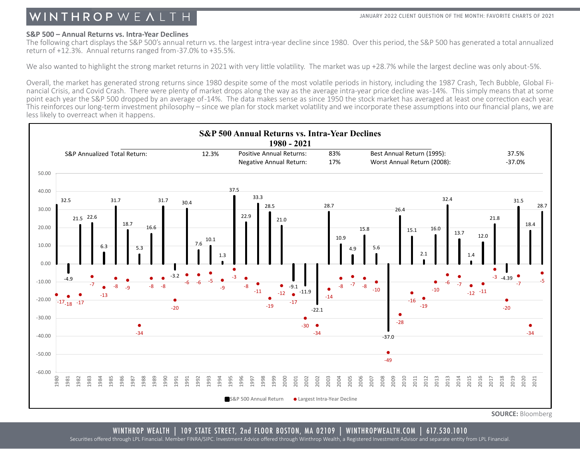#### **S&P 500 – Annual Returns vs. Intra-Year Declines**

The following chart displays the S&P 500's annual return vs. the largest intra-year decline since 1980. Over this period, the S&P 500 has generated a total annualized return of +12.3%. Annual returns ranged from -37.0% to +35.5%.

We also wanted to highlight the strong market returns in 2021 with very little volatility. The market was up +28.7% while the largest decline was only about-5%.

Overall, the market has generated strong returns since 1980 despite some of the most volatile periods in history, including the 1987 Crash, Tech Bubble, Global Fi-<br>nancial Crisis, and Covid Crash. There were plenty of mark point each year the S&P 500 dropped by an average of -14%. The data makes sense as since 1950 the stock market has averaged at least one correction each year. This reinforces our long-term investment philosophy – since we plan for stock market volatility and we incorporate these assumptions into our financial plans, we are less likely to overreact when it happens.



**SOURCE:** Bloomberg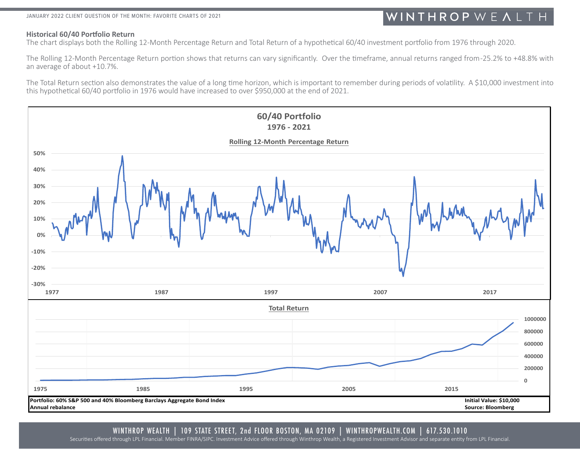#### JANUARY 2022 CLIENT QUESTION OF THE MONTH: FAVORITE CHARTS OF 2021

## WINTHROPWEALTH

#### **Historical 60/40 Portfolio Return**

The chart displays both the Rolling 12-Month Percentage Return and Total Return of a hypothetical 60/40 investment portfolio from 1976 through 2020.

The Rolling 12-Month Percentage Return portion shows that returns can vary significantly. Over the timeframe, annual returns ranged from -25.2% to +48.8% with an average of about +10.7%.

The Total Return section also demonstrates the value of a long time horizon, which is important to remember during periods of volatility. A \$10,000 investment into this hypothetical 60/40 portfolio in 1976 would have increased to over \$950,000 at the end of 2021.

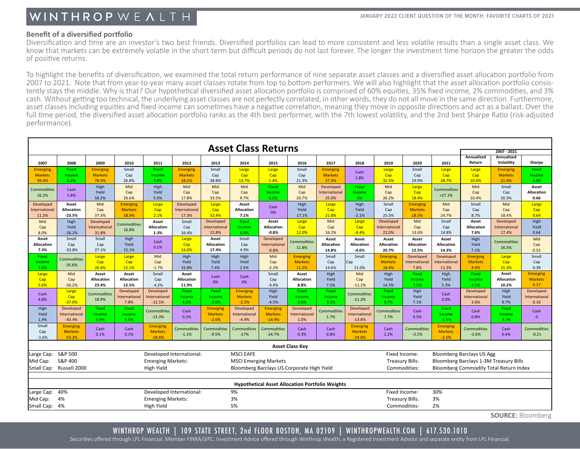#### **Benefit of a diversified portfolio**

Diversification and time are an investor's two best friends. Diversified portfolios can lead to more consistent and less volatile results than a single asset class. We know that markets can be extremely volatile in the short-term but difficult periods do not last forever. The longer the investment time horizon the greater the odds of positive returns.

To highlight the benefits of diversification, we examined the total return performance of nine separate asset classes and a diversified asset allocation portfolio from<br>2007 to 2021. Note that from year-to-year many asset c tently stays the middle. Why is that? Our hypothetical diversified asset allocation portfolio is comprised of 60% equities, 35% fixed income, 2% commodities, and 3% cash. Without getting too technical, the underlying asset classes are not perfectly correlated, in other words, they do not all move in the same direction. Furthermore, asset classes including equities and fixed income can sometimes have a negative correlation, meaning they move in opposite directions and act as a ballast. Over the full time period, the diversified asset allocation portfolio ranks as the 4th best performer, with the 7th lowest volatility, and the 2nd best Sharpe Ratio (risk-adjusted performance).

| <b>Asset Class Returns</b>                                                                                                                    |                                       |                    |                   |                                        |                   |                             |                    |                   |                        |                      |                                   |                                        |                   |                                   |                                  |                          |                   |
|-----------------------------------------------------------------------------------------------------------------------------------------------|---------------------------------------|--------------------|-------------------|----------------------------------------|-------------------|-----------------------------|--------------------|-------------------|------------------------|----------------------|-----------------------------------|----------------------------------------|-------------------|-----------------------------------|----------------------------------|--------------------------|-------------------|
|                                                                                                                                               |                                       |                    |                   |                                        |                   |                             |                    |                   |                        |                      |                                   |                                        | 2007 - 2021       |                                   |                                  |                          |                   |
| 2007                                                                                                                                          | 2008                                  | 2009               | 2010              | 2011                                   | 2012              | 2013                        | 2014               | 2015              | 2016                   | 2017                 | 2018                              | 2019                                   | 2020              | 2021                              | Annualized<br>Return             | Annualized<br>Volatility | Sharpe            |
| <b>Emerging</b>                                                                                                                               | Fixed                                 | <b>Emerging</b>    | Small             | Fixed                                  | <b>Emerging</b>   | Small                       | Large              | Large             | Small                  | <b>Emerging</b>      |                                   | Large                                  | Small             | Large                             | Large                            | <b>Emerging</b>          | Fixed             |
| <b>Markets</b>                                                                                                                                | Income                                | <b>Markets</b>     | Cap               | Income                                 | <b>Markets</b>    | Cap                         | Cap                | Cap               | Cap                    | <b>Markets</b>       | Cash                              | Cap                                    | Cap               | Cap                               | Cap                              | <b>Markets</b>           | Income            |
| 39.4%                                                                                                                                         | 5.2%                                  | 78.5%              | 26.8%             | 7.8%                                   | 18.2%             | 38.8%                       | 13.7%              | 1.4%              | 21.3%                  | 37.3%                | 1.8%                              | 31.5%                                  | 19.9%             | 28.7%                             | 10.6%                            | 21.4%                    | 1.00              |
| <b>Commodities</b>                                                                                                                            | Cash                                  | High               | Mid               | High                                   | Mid               | Mid                         | Mid                | Fixed             | Mid                    | Developed            | Fixed                             | Mid                                    | Large             | Commodities                       | Mid                              | Small                    | Asset             |
| 16.2%                                                                                                                                         | 1.8%                                  | Yield              | Cap               | Yield                                  | Cap               | Cap                         | Cap                | Income            | Cap                    | <b>International</b> | Income                            | Cap                                    | Cap               | $+27.1%$                          | Cap                              | Cap                      | <b>Allocation</b> |
|                                                                                                                                               |                                       | 58.2%              | 26.6%             | 5.0%                                   | 17.8%             | 33.5%                       | 9.7%               | 0.5%              | 20.7%                  | 25.0%                | 0%                                | 26.2%                                  | 18.4%             |                                   | 10.4%                            | 20.3%                    | 0.66              |
| Developed                                                                                                                                     | Asset                                 | Mid                | <b>Emerging</b>   | Large                                  | Developed         | Large                       | Asset              | Cash              | High                   | Large                | High                              | Small                                  | <b>Emerging</b>   | Mid                               | Small                            | Mid                      | Large             |
| Internationa                                                                                                                                  | <b>Allocation</b>                     | Cap                | <b>Markets</b>    | Cap                                    | International     | Cap                         | Allocation         | 0%                | Yield                  | Cap                  | Yield                             | Cap                                    | <b>Markets</b>    | Cap                               | Cap                              | Cap                      | Cap               |
| 11.2%                                                                                                                                         | $-23.5%$                              | 37.3%              | 18.9%             | 2.1%                                   | 17.3%             | 32.4%                       | 7.1%               |                   | 17.1%                  | 21.8%                | $-2.1%$                           | 25.5%                                  | 18.3%             | 24.7%                             | 8.7%                             | 18.4%                    | 0.64              |
| Mid                                                                                                                                           | High                                  | Developed          | Commodities       | Asset                                  | Small             | <b>Developed</b>            | Fixed              | Asset             | Large                  | Mid                  | Large                             | <b>Developed</b>                       | Mid               | Small                             | Asset                            | Developed                | High              |
| Cap                                                                                                                                           | Yield                                 | Internationa       | 16.8%             | Allocation                             | Cap               | International               | Income             | <b>Allocation</b> | Cap                    | Cap                  | Cap                               | International                          | Cap               | Cap                               | <b>Allocation</b>                | <b>International</b>     | Yield             |
| 8.0%                                                                                                                                          | $-26.2%$                              | 31.8%              |                   | 1.3%                                   | 16.4%             | 22.8%                       | 6.0%               | $-0.8%$           | 12.0%                  | 16.2%                | $-4.4%$                           | 22.0%                                  | 13.6%             | 14.8%                             | 7.6%                             | 17.4%                    | 0.64              |
| Asset                                                                                                                                         | Small                                 | Small              | High              | Cash                                   | Large             | Asset                       | Small              | Developed         | Commodities            | Asset                | Asset                             | Asset                                  | Asset             | Asset                             | High                             | Commodities              | Mid               |
| <b>Allocation</b>                                                                                                                             | Cap                                   | Cap                | Yield             | 0.1%                                   | Cap               | <b>Allocation</b>           | Cap                | Internationa      | 11.8%                  | <b>Allocation</b>    | <b>Allocation</b>                 | <b>Allocation</b>                      | <b>Allocation</b> | <b>Allocation</b>                 | Yield                            | 16.5%                    | Cap               |
| 7.3%                                                                                                                                          | $-33.8%$                              | 27.1%              | 15.1%             |                                        | 16.0%             | 17.4%                       | 4.9%               | $-0.8%$           |                        | 14.8%                | $-4.6%$                           | 20.7%                                  | 12.5%             | 14.3%                             | 7.1%                             |                          | 0.52              |
| Fixed                                                                                                                                         | Commodities                           | Large              | Large             | Mid                                    | High              | High                        | High               | Mid               | <b>Emerging</b>        | Small                | Small                             | <b>Emerging</b>                        | Developed         | <b>Developed</b>                  | <b>Emerging</b>                  | Large                    | Small             |
| Income                                                                                                                                        | $-35.6%$                              | Cap                | Cap               | Cap                                    | Yield             | Yield                       | Yield              | Cap               | <b>Markets</b>         | Cap                  | Cap                               | <b>Markets</b>                         | International     | International                     | <b>Markets</b>                   | Cap                      | Cap               |
| 7.0%                                                                                                                                          |                                       | 26.4%              | 15.1%             | $-1.7%$                                | 15.8%             | 7.4%                        | 2.5%               | $-2.2%$           | 11.2%                  | 14.6%                | 11.0%                             | 18.4%                                  | 7.8%              | 11.3%                             | 4.4%                             | 15.3%                    | 0.39              |
| Large                                                                                                                                         | Mid                                   | Asset              | Asset             | Small                                  | Asset             | Cash                        | Cash               | Small             | Asset                  | High                 | Mid                               | High                                   | <b>Fixed</b>      | High                              | Fixed                            | Asset                    | <b>Emerging</b>   |
| Cap                                                                                                                                           | Cap                                   | Allocation         | <b>Allocation</b> | Cap                                    | <b>Allocation</b> | 0%                          | 0%                 | Cap               | Allocation             | Yield                | Cap                               | Yield                                  | Income            | Yield                             | Income                           | <b>Allocation</b>        | <b>Markets</b>    |
| 5.6%                                                                                                                                          | $-36.2%$                              | 23.4%              | 12.5%             | $-4.2%$                                | 11.9%             |                             |                    | $-4.4%$           | 8.8%                   | 7.5%                 | $-11.1%$                          | 14.3%                                  | 7.5%              | 5.3%                              | 4.1%                             | 10.2%                    | 0.17              |
| Cash                                                                                                                                          | Large                                 | <b>Commodities</b> | Developed         | Developed                              | Fixed             | Fixed                       | <b>Emerging</b>    | High              | Fixed                  | Fixed                | Commodities                       | Fixed                                  | High              | Cash                              | Developed                        | High                     | Developed         |
| 4.8%                                                                                                                                          | Cap                                   | 18.9%              | International     | International                          | Income            | Income                      | <b>Markets</b>     | Yield             | Income                 | Income               | $-11.2%$                          | Income                                 | Yield             | 0.0%                              | International                    | Yield                    | International     |
|                                                                                                                                               | $-37.0%$                              |                    | 7.8%              | $-12.1%$                               | 4.2%              | $-2.0%$                     | $-2.2%$            | $-4.5%$           | 2.6%                   | 3.5%                 |                                   | 8.7%                                   | 7.1%              |                                   | 3.6%                             | 9.7%                     | 0.16              |
| High                                                                                                                                          | Developed                             | Fixed              | Fixed             | Commodities                            | Cash              | <b>Emerging</b>             | Developed          | Emerging          | Developed              | Commodities          | <b>Developed</b>                  | Commodities                            | Cash              | Fixed                             | Cash                             | Fixed                    | Cash              |
| Yield                                                                                                                                         | International                         | Income             | Income            | $-13.3%$                               | 0.1%              | <b>Markets</b>              | International      | <b>Markets</b>    | International          | 1.7%                 | International                     | 7.7%                                   | 0.5%              | Income                            | 0.8%                             | Income                   | $\mathbf{0}$      |
| 1.9%<br>Small                                                                                                                                 | $-43.4%$                              | 5.9%               | 6.5%              |                                        |                   | $-2.6%$                     | $-4.9%$            | $-14.9%$          | 1.0%                   |                      | $-13.8%$                          |                                        |                   | $-1.5%$                           |                                  | 3.2%                     |                   |
| Cap                                                                                                                                           | <b>Emerging</b><br><b>Markets</b>     | Cash               | Cash              | <b>Emerging</b><br><b>Markets</b>      | Commodities       | Commodities                 | <b>Commodities</b> | Commodities       | Cash                   | Cash                 | <b>Emerging</b><br><b>Markets</b> | Cash                                   | Commodities       | <b>Emerging</b><br><b>Markets</b> | Commodities                      | Cash                     | Commodities       |
| $-1.6%$                                                                                                                                       | $-53.3%$                              | 0.1%               | 0.1%              | $-18.4%$                               | $-1.1%$           | $-9.5%$                     | $-17%$             | $-24.7%$          | 0.3%                   | 0.8%                 | $-14.6%$                          | 2.2%                                   | $-3.1%$           | $-2.5%$                           | $-2.6%$                          | 0.4%                     | $-0.21$           |
|                                                                                                                                               |                                       |                    |                   |                                        |                   |                             |                    |                   | <b>Asset Class Key</b> |                      |                                   |                                        |                   |                                   |                                  |                          |                   |
| Large Cap:                                                                                                                                    | S&P 500                               |                    |                   | Developed International:               |                   |                             | <b>MSCI EAFE</b>   |                   |                        |                      |                                   | Fixed Income:                          |                   |                                   | <b>Bloomberg Barclays US Agg</b> |                          |                   |
| S&P 400                                                                                                                                       |                                       |                    |                   |                                        |                   |                             |                    |                   |                        |                      |                                   | Bloomberg Barclays 1-3M Treasury Bills |                   |                                   |                                  |                          |                   |
| <b>Emerging Markets:</b><br><b>MSCI Emerging Markets</b><br><b>Treasury Bills:</b><br>Mid Cap:                                                |                                       |                    |                   |                                        |                   |                             |                    |                   |                        |                      |                                   |                                        |                   |                                   |                                  |                          |                   |
| Small Cap: Russell 2000<br>Bloomberg Barclays US Corporate High Yield<br>High Yield<br>Commodities:<br>Bloomberg Commodity Total Return Index |                                       |                    |                   |                                        |                   |                             |                    |                   |                        |                      |                                   |                                        |                   |                                   |                                  |                          |                   |
|                                                                                                                                               |                                       |                    |                   |                                        |                   |                             |                    |                   |                        |                      |                                   |                                        |                   |                                   |                                  |                          |                   |
| <b>Hypothetical Asset Allocation Portfolio Weights</b>                                                                                        |                                       |                    |                   |                                        |                   |                             |                    |                   |                        |                      |                                   |                                        |                   |                                   |                                  |                          |                   |
| Large Cap:                                                                                                                                    | 40%<br>9%<br>Developed International: |                    |                   |                                        |                   |                             |                    |                   | Fixed Income:<br>30%   |                      |                                   |                                        |                   |                                   |                                  |                          |                   |
| 4%<br>Mid Cap:<br><b>Emerging Markets:</b>                                                                                                    |                                       |                    |                   |                                        |                   | 3%<br>3%<br>Treasury Bills: |                    |                   |                        |                      |                                   |                                        |                   |                                   |                                  |                          |                   |
|                                                                                                                                               |                                       |                    |                   | 5%<br>2%<br>High Yield<br>Commodities: |                   |                             |                    |                   |                        |                      |                                   |                                        |                   |                                   |                                  |                          |                   |
| Small Cap: 4%                                                                                                                                 |                                       |                    |                   |                                        |                   |                             |                    |                   |                        |                      |                                   |                                        |                   |                                   |                                  |                          |                   |

**SOURCE:** Bloomberg